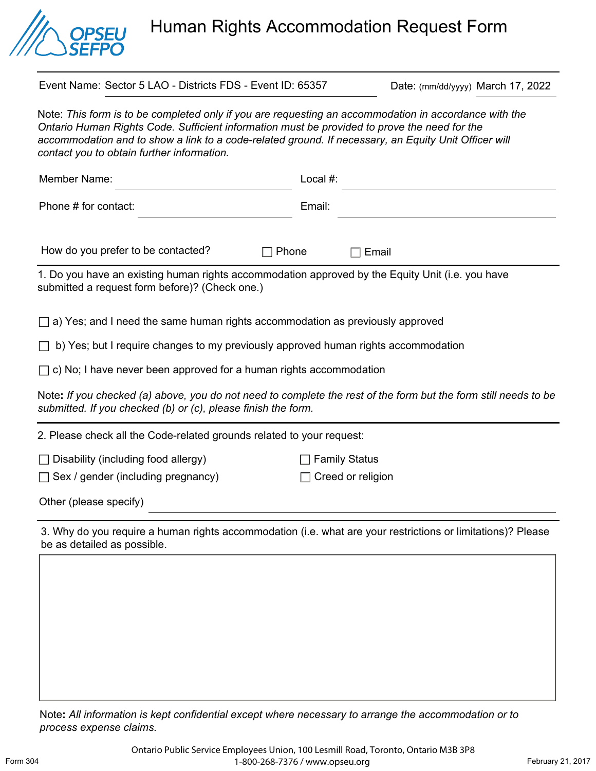

Human Rights Accommodation Request Form

Event Name: Sector 5 LAO - Districts FDS - Event ID: 65357 Date: (mm/dd/yyyy) March 17, 2022

Note: *This form is to be completed only if you are requesting an accommodation in accordance with the Ontario Human Rights Code. Sufficient information must be provided to prove the need for the*  accommodation and to show a link to a code-related ground. If necessary, an Equity Unit Officer will *contact you to obtain further information.* 

| Member Name:                                                                                                                                                                     | Local #:             |
|----------------------------------------------------------------------------------------------------------------------------------------------------------------------------------|----------------------|
| Phone # for contact:                                                                                                                                                             | Email:               |
| How do you prefer to be contacted?<br>Phone                                                                                                                                      | Email                |
| 1. Do you have an existing human rights accommodation approved by the Equity Unit (i.e. you have<br>submitted a request form before)? (Check one.)                               |                      |
| $\Box$ a) Yes; and I need the same human rights accommodation as previously approved                                                                                             |                      |
| b) Yes; but I require changes to my previously approved human rights accommodation                                                                                               |                      |
| $\Box$ c) No; I have never been approved for a human rights accommodation                                                                                                        |                      |
| Note: If you checked (a) above, you do not need to complete the rest of the form but the form still needs to be<br>submitted. If you checked (b) or (c), please finish the form. |                      |
| 2. Please check all the Code-related grounds related to your request:                                                                                                            |                      |
| $\Box$ Disability (including food allergy)                                                                                                                                       | <b>Family Status</b> |

 $\Box$  Sex / gender (including pregnancy)  $\Box$  Creed or religion

Other (please specify)

3. Why do you require a human rights accommodation (i.e. what are your restrictions or limitations)? Please be as detailed as possible.

Note**:** *All information is kept confidential except where necessary to arrange the accommodation or to process expense claims.*